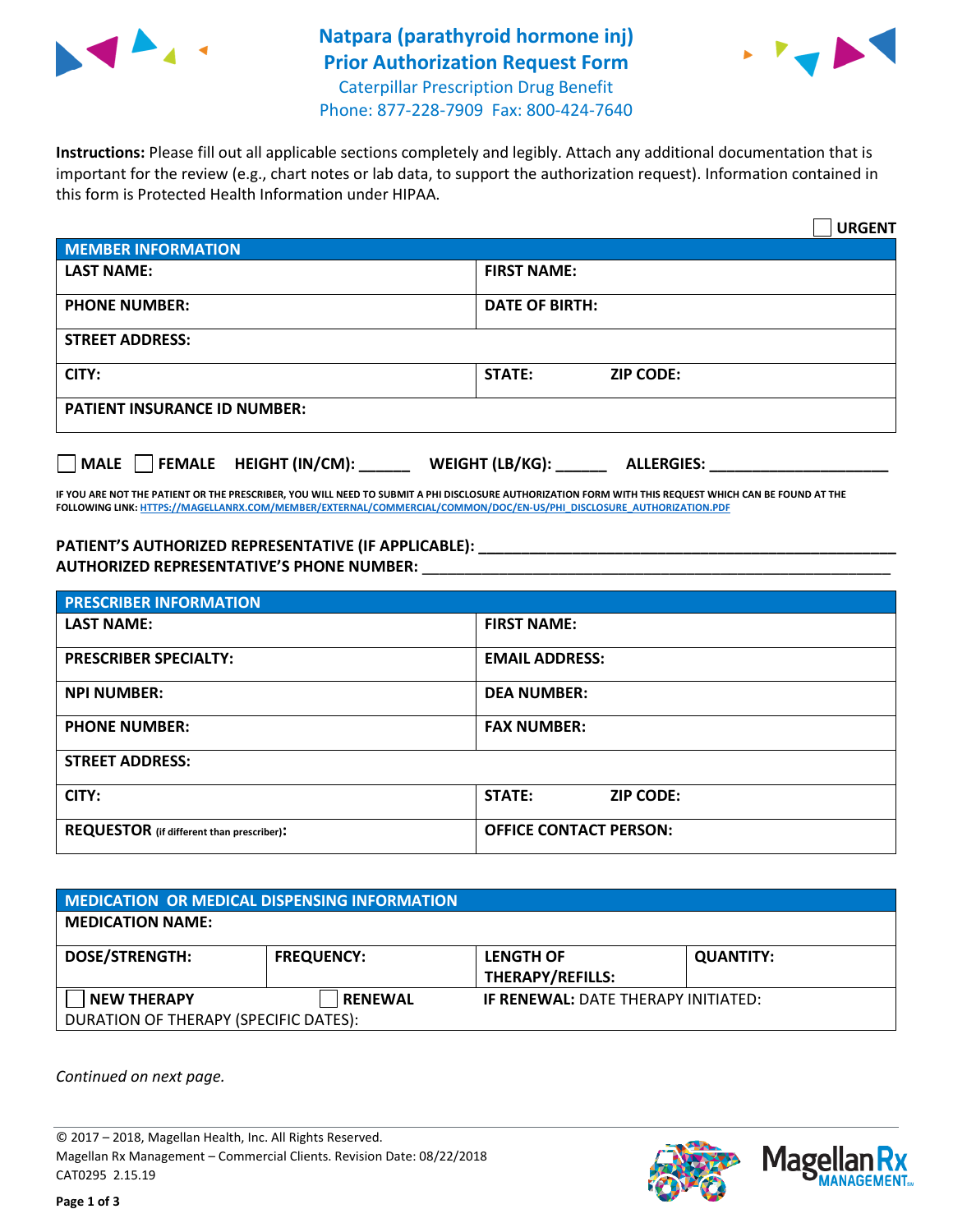

## **Natpara (parathyroid hormone inj) Prior Authorization Request Form** Caterpillar Prescription Drug Benefit



Phone: 877-228-7909 Fax: 800-424-7640

**Instructions:** Please fill out all applicable sections completely and legibly. Attach any additional documentation that is important for the review (e.g., chart notes or lab data, to support the authorization request). Information contained in this form is Protected Health Information under HIPAA.

|                                                | <b>URGENT</b>                        |  |
|------------------------------------------------|--------------------------------------|--|
| <b>MEMBER INFORMATION</b>                      |                                      |  |
| <b>LAST NAME:</b>                              | <b>FIRST NAME:</b>                   |  |
| <b>PHONE NUMBER:</b>                           | <b>DATE OF BIRTH:</b>                |  |
| <b>STREET ADDRESS:</b>                         |                                      |  |
| CITY:                                          | <b>STATE:</b><br><b>ZIP CODE:</b>    |  |
| <b>PATIENT INSURANCE ID NUMBER:</b>            |                                      |  |
| $\Box$ FEMALE HEIGHT (IN/CM): _<br><b>MALE</b> | WEIGHT (LB/KG):<br><b>ALLERGIES:</b> |  |

**IF YOU ARE NOT THE PATIENT OR THE PRESCRIBER, YOU WILL NEED TO SUBMIT A PHI DISCLOSURE AUTHORIZATION FORM WITH THIS REQUEST WHICH CAN BE FOUND AT THE FOLLOWING LINK[: HTTPS://MAGELLANRX.COM/MEMBER/EXTERNAL/COMMERCIAL/COMMON/DOC/EN-US/PHI\\_DISCLOSURE\\_AUTHORIZATION.PDF](https://magellanrx.com/member/external/commercial/common/doc/en-us/PHI_Disclosure_Authorization.pdf)**

**PATIENT'S AUTHORIZED REPRESENTATIVE (IF APPLICABLE): \_\_\_\_\_\_\_\_\_\_\_\_\_\_\_\_\_\_\_\_\_\_\_\_\_\_\_\_\_\_\_\_\_\_\_\_\_\_\_\_\_\_\_\_\_\_\_\_\_ AUTHORIZED REPRESENTATIVE'S PHONE NUMBER:** \_\_\_\_\_\_\_\_\_\_\_\_\_\_\_\_\_\_\_\_\_\_\_\_\_\_\_\_\_\_\_\_\_\_\_\_\_\_\_\_\_\_\_\_\_\_\_\_\_\_\_\_\_\_\_

| <b>PRESCRIBER INFORMATION</b>             |                               |  |  |  |
|-------------------------------------------|-------------------------------|--|--|--|
| <b>LAST NAME:</b>                         | <b>FIRST NAME:</b>            |  |  |  |
| <b>PRESCRIBER SPECIALTY:</b>              | <b>EMAIL ADDRESS:</b>         |  |  |  |
| <b>NPI NUMBER:</b>                        | <b>DEA NUMBER:</b>            |  |  |  |
| <b>PHONE NUMBER:</b>                      | <b>FAX NUMBER:</b>            |  |  |  |
| <b>STREET ADDRESS:</b>                    |                               |  |  |  |
| CITY:                                     | STATE:<br><b>ZIP CODE:</b>    |  |  |  |
| REQUESTOR (if different than prescriber): | <b>OFFICE CONTACT PERSON:</b> |  |  |  |

| <b>MEDICATION OR MEDICAL DISPENSING INFORMATION</b> |                   |                                            |                  |  |  |
|-----------------------------------------------------|-------------------|--------------------------------------------|------------------|--|--|
| <b>MEDICATION NAME:</b>                             |                   |                                            |                  |  |  |
| <b>DOSE/STRENGTH:</b>                               | <b>FREQUENCY:</b> | <b>LENGTH OF</b>                           | <b>QUANTITY:</b> |  |  |
|                                                     |                   | <b>THERAPY/REFILLS:</b>                    |                  |  |  |
| <b>NEW THERAPY</b>                                  | <b>RENEWAL</b>    | <b>IF RENEWAL: DATE THERAPY INITIATED:</b> |                  |  |  |
| DURATION OF THERAPY (SPECIFIC DATES):               |                   |                                            |                  |  |  |

*Continued on next page.*

© 2017 – 2018, Magellan Health, Inc. All Rights Reserved. Magellan Rx Management – Commercial Clients. Revision Date: 08/22/2018 CAT0295 2.15.19



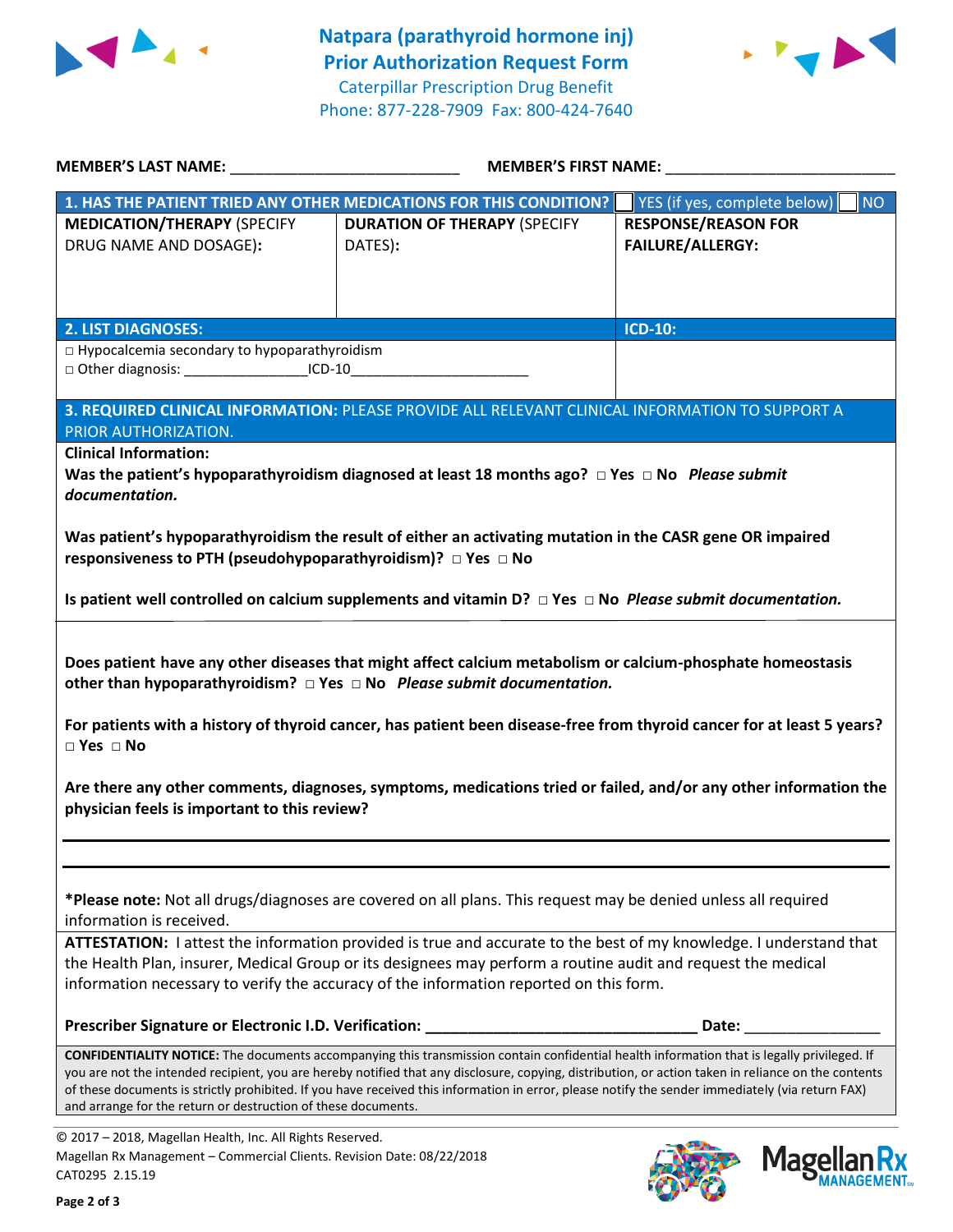



**MANAGEMENT**<sub>SM</sub>

| MEMBER'S LAST NAME: NAME:                                                                                                                              | <b>MEMBER'S FIRST NAME:</b>                                                                                                                                                                                                                                                                                                                                                                                                                            |                                                       |  |
|--------------------------------------------------------------------------------------------------------------------------------------------------------|--------------------------------------------------------------------------------------------------------------------------------------------------------------------------------------------------------------------------------------------------------------------------------------------------------------------------------------------------------------------------------------------------------------------------------------------------------|-------------------------------------------------------|--|
|                                                                                                                                                        | 1. HAS THE PATIENT TRIED ANY OTHER MEDICATIONS FOR THIS CONDITION?                                                                                                                                                                                                                                                                                                                                                                                     | YES (if yes, complete below)<br><b>NO</b>             |  |
| <b>MEDICATION/THERAPY (SPECIFY</b><br>DRUG NAME AND DOSAGE):                                                                                           | <b>DURATION OF THERAPY (SPECIFY</b><br>DATES):                                                                                                                                                                                                                                                                                                                                                                                                         | <b>RESPONSE/REASON FOR</b><br><b>FAILURE/ALLERGY:</b> |  |
| <b>2. LIST DIAGNOSES:</b>                                                                                                                              |                                                                                                                                                                                                                                                                                                                                                                                                                                                        | <b>ICD-10:</b>                                        |  |
| □ Hypocalcemia secondary to hypoparathyroidism<br>□ Other diagnosis: ____________________ICD-10__________________________________                      |                                                                                                                                                                                                                                                                                                                                                                                                                                                        |                                                       |  |
| PRIOR AUTHORIZATION.                                                                                                                                   | 3. REQUIRED CLINICAL INFORMATION: PLEASE PROVIDE ALL RELEVANT CLINICAL INFORMATION TO SUPPORT A                                                                                                                                                                                                                                                                                                                                                        |                                                       |  |
| <b>Clinical Information:</b><br>documentation.                                                                                                         | Was the patient's hypoparathyroidism diagnosed at least 18 months ago? $\Box$ Yes $\Box$ No Please submit<br>Was patient's hypoparathyroidism the result of either an activating mutation in the CASR gene OR impaired                                                                                                                                                                                                                                 |                                                       |  |
| responsiveness to PTH (pseudohypoparathyroidism)? $\Box$ Yes $\Box$ No                                                                                 | Is patient well controlled on calcium supplements and vitamin $D$ ? $\Box$ Yes $\Box$ No <i>Please submit documentation.</i>                                                                                                                                                                                                                                                                                                                           |                                                       |  |
| $\Box$ Yes $\Box$ No                                                                                                                                   | Does patient have any other diseases that might affect calcium metabolism or calcium-phosphate homeostasis<br>other than hypoparathyroidism? $\Box$ Yes $\Box$ No Please submit documentation.<br>For patients with a history of thyroid cancer, has patient been disease-free from thyroid cancer for at least 5 years?<br>Are there any other comments, diagnoses, symptoms, medications tried or failed, and/or any other information the           |                                                       |  |
| physician feels is important to this review?                                                                                                           |                                                                                                                                                                                                                                                                                                                                                                                                                                                        |                                                       |  |
| information is received.                                                                                                                               | *Please note: Not all drugs/diagnoses are covered on all plans. This request may be denied unless all required                                                                                                                                                                                                                                                                                                                                         |                                                       |  |
|                                                                                                                                                        | ATTESTATION: I attest the information provided is true and accurate to the best of my knowledge. I understand that<br>the Health Plan, insurer, Medical Group or its designees may perform a routine audit and request the medical<br>information necessary to verify the accuracy of the information reported on this form.                                                                                                                           |                                                       |  |
|                                                                                                                                                        | Prescriber Signature or Electronic I.D. Verification: ___________________________                                                                                                                                                                                                                                                                                                                                                                      | Date:                                                 |  |
| and arrange for the return or destruction of these documents.                                                                                          | CONFIDENTIALITY NOTICE: The documents accompanying this transmission contain confidential health information that is legally privileged. If<br>you are not the intended recipient, you are hereby notified that any disclosure, copying, distribution, or action taken in reliance on the contents<br>of these documents is strictly prohibited. If you have received this information in error, please notify the sender immediately (via return FAX) |                                                       |  |
| © 2017 - 2018, Magellan Health, Inc. All Rights Reserved.<br>Magellan Rx Management - Commercial Clients. Revision Date: 08/22/2018<br>CAT0295 2 15 19 |                                                                                                                                                                                                                                                                                                                                                                                                                                                        | <b>Magellar</b>                                       |  |

CAT0295 2.15.19